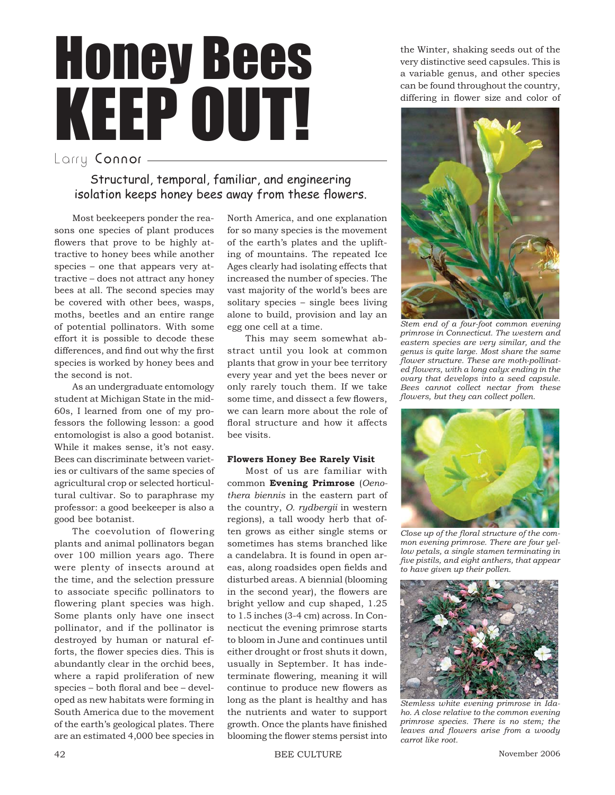# Honey Bees KEEP OUT! Larry Connor -

Structural, temporal, familiar, and engineering isolation keeps honey bees away from these flowers.

Most beekeepers ponder the reasons one species of plant produces flowers that prove to be highly attractive to honey bees while another species – one that appears very attractive – does not attract any honey bees at all. The second species may be covered with other bees, wasps, moths, beetles and an entire range of potential pollinators. With some effort it is possible to decode these differences, and find out why the first species is worked by honey bees and the second is not.

As an undergraduate entomology student at Michigan State in the mid-60s, I learned from one of my professors the following lesson: a good entomologist is also a good botanist. While it makes sense, it's not easy. Bees can discriminate between varieties or cultivars of the same species of agricultural crop or selected horticultural cultivar. So to paraphrase my professor: a good beekeeper is also a good bee botanist.

The coevolution of flowering plants and animal pollinators began over 100 million years ago. There were plenty of insects around at the time, and the selection pressure to associate specific pollinators to flowering plant species was high. Some plants only have one insect pollinator, and if the pollinator is destroyed by human or natural efforts, the flower species dies. This is abundantly clear in the orchid bees, where a rapid proliferation of new species – both floral and bee – developed as new habitats were forming in South America due to the movement of the earth's geological plates. There are an estimated 4,000 bee species in North America, and one explanation for so many species is the movement of the earth's plates and the uplifting of mountains. The repeated Ice Ages clearly had isolating effects that increased the number of species. The vast majority of the world's bees are solitary species – single bees living alone to build, provision and lay an egg one cell at a time.

This may seem somewhat abstract until you look at common plants that grow in your bee territory every year and yet the bees never or only rarely touch them. If we take some time, and dissect a few flowers, we can learn more about the role of floral structure and how it affects bee visits.

# **Flowers Honey Bee Rarely Visit**

Most of us are familiar with common **Evening Primrose** (*Oenothera biennis* in the eastern part of the country, *O. rydbergii* in western regions), a tall woody herb that often grows as either single stems or sometimes has stems branched like a candelabra. It is found in open areas, along roadsides open fields and disturbed areas. A biennial (blooming in the second year), the flowers are bright yellow and cup shaped, 1.25 to 1.5 inches (3-4 cm) across. In Connecticut the evening primrose starts to bloom in June and continues until either drought or frost shuts it down, usually in September. It has indeterminate flowering, meaning it will continue to produce new flowers as long as the plant is healthy and has the nutrients and water to support growth. Once the plants have finished blooming the flower stems persist into

the Winter, shaking seeds out of the very distinctive seed capsules. This is a variable genus, and other species can be found throughout the country, differing in flower size and color of



*Stem end of a four-foot common evening primrose in Connecticut. The western and eastern species are very similar, and the genus is quite large. Most share the same fl ower structure. These are moth-pollinat*ed flowers, with a long calyx ending in the *ovary that develops into a seed capsule. Bees cannot collect nectar from these fl owers, but they can collect pollen.*



Close up of the floral structure of the com*mon evening primrose. There are four yellow petals, a single stamen terminating in fi ve pistils, and eight anthers, that appear to have given up their pollen.*



*Stemless white evening primrose in Idaho. A close relative to the common evening primrose species. There is no stem; the leaves and flowers arise from a woody carrot like root.*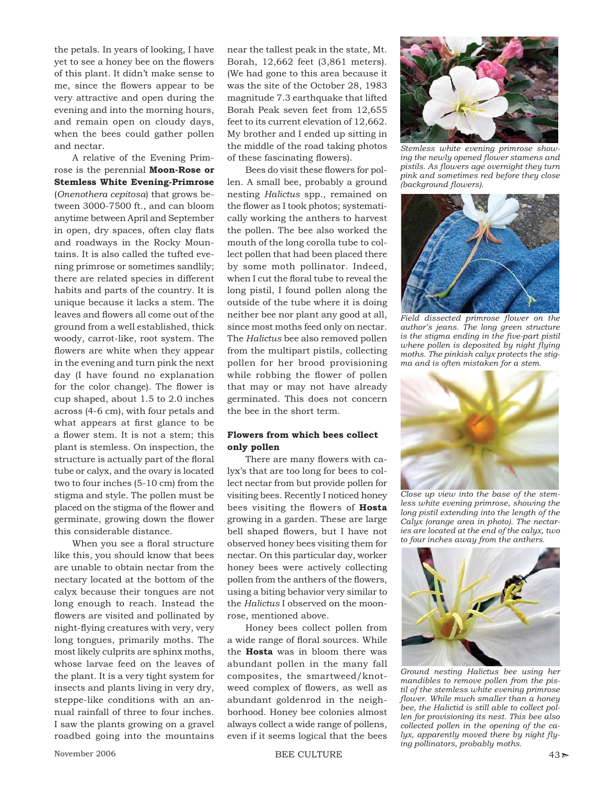the petals. In years of looking, I have yet to see a honey bee on the flowers of this plant. It didn't make sense to me, since the flowers appear to be very attractive and open during the evening and into the morning hours, and remain open on cloudy days, when the bees could gather pollen and nectar.

A relative of the Evening Primrose is the perennial **Moon-Rose or Stemless White Evening-Primrose** (*Onenothera cepitosa*) that grows between 3000-7500 ft., and can bloom anytime between April and September in open, dry spaces, often clay flats and roadways in the Rocky Mountains. It is also called the tufted evening primrose or sometimes sandlily; there are related species in different habits and parts of the country. It is unique because it lacks a stem. The leaves and flowers all come out of the ground from a well established, thick woody, carrot-like, root system. The flowers are white when they appear in the evening and turn pink the next day (I have found no explanation for the color change). The flower is cup shaped, about 1.5 to 2.0 inches across (4-6 cm), with four petals and what appears at first glance to be a flower stem. It is not a stem; this plant is stemless. On inspection, the structure is actually part of the floral tube or calyx, and the ovary is located two to four inches (5-10 cm) from the stigma and style. The pollen must be placed on the stigma of the flower and germinate, growing down the flower this considerable distance.

When you see a floral structure like this, you should know that bees are unable to obtain nectar from the nectary located at the bottom of the calyx because their tongues are not long enough to reach. Instead the flowers are visited and pollinated by night-flying creatures with very, very long tongues, primarily moths. The most likely culprits are sphinx moths, whose larvae feed on the leaves of the plant. It is a very tight system for insects and plants living in very dry, steppe-like conditions with an annual rainfall of three to four inches. I saw the plants growing on a gravel roadbed going into the mountains near the tallest peak in the state, Mt. Borah, 12,662 feet (3,861 meters). (We had gone to this area because it was the site of the October 28, 1983 magnitude 7.3 earthquake that lifted Borah Peak seven feet from 12,655 feet to its current elevation of 12,662. My brother and I ended up sitting in the middle of the road taking photos of these fascinating flowers).

Bees do visit these flowers for pollen. A small bee, probably a ground nesting *Halictus* spp., remained on the flower as I took photos; systematically working the anthers to harvest the pollen. The bee also worked the mouth of the long corolla tube to collect pollen that had been placed there by some moth pollinator. Indeed, when I cut the floral tube to reveal the long pistil, I found pollen along the outside of the tube where it is doing neither bee nor plant any good at all, since most moths feed only on nectar. The *Halictus* bee also removed pollen from the multipart pistils, collecting pollen for her brood provisioning while robbing the flower of pollen that may or may not have already germinated. This does not concern the bee in the short term.

# **Flowers from which bees collect only pollen**

There are many flowers with calyx's that are too long for bees to collect nectar from but provide pollen for visiting bees. Recently I noticed honey bees visiting the flowers of Hosta growing in a garden. These are large bell shaped flowers, but I have not observed honey bees visiting them for nectar. On this particular day, worker honey bees were actively collecting pollen from the anthers of the flowers, using a biting behavior very similar to the *Halictus* I observed on the moonrose, mentioned above.

Honey bees collect pollen from a wide range of floral sources. While the **Hosta** was in bloom there was abundant pollen in the many fall composites, the smartweed/knotweed complex of flowers, as well as abundant goldenrod in the neighborhood. Honey bee colonies almost always collect a wide range of pollens, even if it seems logical that the bees



*Stemless white evening primrose show*ing the newly opened flower stamens and *pistils. As fl owers age overnight they turn pink and sometimes red before they close (background flowers).* 



*Field dissected primrose fl ower on the author's jeans. The long green structure*  is the stigma ending in the five-part pistil *where pollen is deposited by night flying moths. The pinkish calyx protects the stigma and is often mistaken for a stem.*



*Close up view into the base of the stemless white evening primrose, showing the long pistil extending into the length of the Calyx (orange area in photo). The nectaries are located at the end of the calyx, two to four inches away from the anthers.*



*Ground nesting Halictus bee using her mandibles to remove pollen from the pistil of the stemless white evening primrose fl ower. While much smaller than a honey bee, the Halictid is still able to collect pollen for provisioning its nest. This bee also collected pollen in the opening of the ca*lyx, apparently moved there by night fly*ing pollinators, probably moths.*